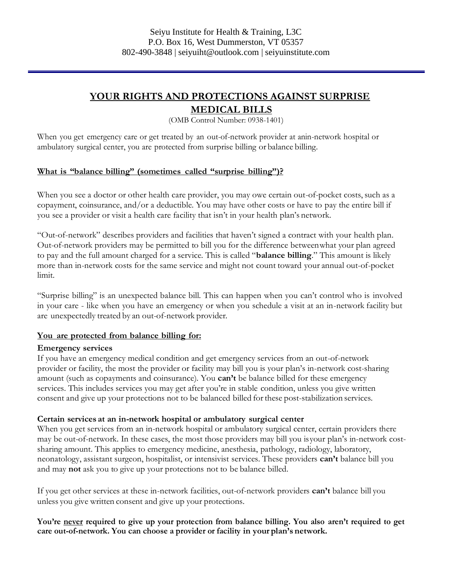# **YOUR RIGHTS AND PROTECTIONS AGAINST SURPRISE MEDICAL BILLS**

(OMB Control Number: 0938-1401)

When you get emergency care or get treated by an out-of-network provider at anin-network hospital or ambulatory surgical center, you are protected from surprise billing or balance billing.

## **What is "balance billing" (sometimes called "surprise billing")?**

When you see a doctor or other health care provider, you may owe certain out-of-pocket costs, such as a copayment, coinsurance, and/or a deductible. You may have other costs or have to pay the entire bill if you see a provider or visit a health care facility that isn't in your health plan's network.

"Out-of-network" describes providers and facilities that haven't signed a contract with your health plan. Out-of-network providers may be permitted to bill you for the difference betweenwhat your plan agreed to pay and the full amount charged for a service. This is called "**balance billing**." This amount is likely more than in-network costs for the same service and might not count toward your annual out-of-pocket limit.

"Surprise billing" is an unexpected balance bill. This can happen when you can't control who is involved in your care - like when you have an emergency or when you schedule a visit at an in-network facility but are unexpectedly treated by an out-of-network provider.

## **You are protected from balance billing for:**

#### **Emergency services**

If you have an emergency medical condition and get emergency services from an out-of-network provider or facility, the most the provider or facility may bill you is your plan's in-network cost-sharing amount (such as copayments and coinsurance). You **can't** be balance billed for these emergency services. This includes services you may get after you're in stable condition, unless you give written consent and give up your protections not to be balanced billed forthese post-stabilization services.

## **Certain services at an in-network hospital or ambulatory surgical center**

When you get services from an in-network hospital or ambulatory surgical center, certain providers there may be out-of-network. In these cases, the most those providers may bill you isyour plan's in-network costsharing amount. This applies to emergency medicine, anesthesia, pathology, radiology, laboratory, neonatology, assistant surgeon, hospitalist, or intensivist services. These providers **can't** balance bill you and may **not** ask you to give up your protections not to be balance billed.

If you get other services at these in-network facilities, out-of-network providers **can't** balance bill you unless you give written consent and give up your protections.

**You're never required to give up your protection from balance billing. You also aren't required to get care out-of-network. You can choose a provider or facility in your plan's network.**